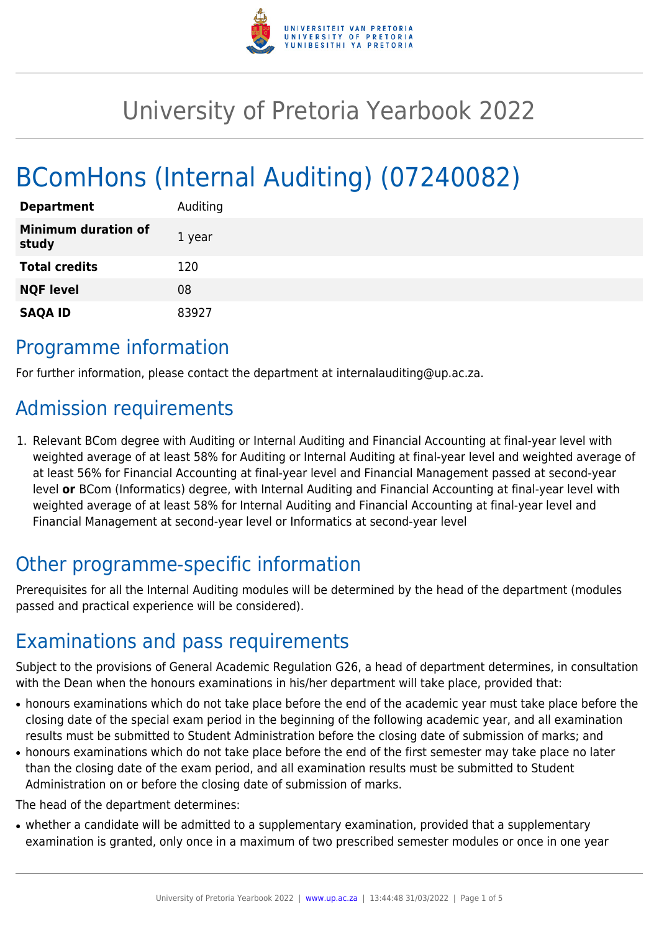

# University of Pretoria Yearbook 2022

# BComHons (Internal Auditing) (07240082)

| <b>Department</b>                   | Auditing |
|-------------------------------------|----------|
| <b>Minimum duration of</b><br>study | 1 year   |
| <b>Total credits</b>                | 120      |
| <b>NQF level</b>                    | 08       |
| <b>SAQA ID</b>                      | 83927    |

### Programme information

For further information, please contact the department at internalauditing@up.ac.za.

## Admission requirements

1. Relevant BCom degree with Auditing or Internal Auditing and Financial Accounting at final-year level with weighted average of at least 58% for Auditing or Internal Auditing at final-year level and weighted average of at least 56% for Financial Accounting at final-year level and Financial Management passed at second-year level **or** BCom (Informatics) degree, with Internal Auditing and Financial Accounting at final-year level with weighted average of at least 58% for Internal Auditing and Financial Accounting at final-year level and Financial Management at second-year level or Informatics at second-year level

# Other programme-specific information

Prerequisites for all the Internal Auditing modules will be determined by the head of the department (modules passed and practical experience will be considered).

## Examinations and pass requirements

Subject to the provisions of General Academic Regulation G26, a head of department determines, in consultation with the Dean when the honours examinations in his/her department will take place, provided that:

- honours examinations which do not take place before the end of the academic year must take place before the closing date of the special exam period in the beginning of the following academic year, and all examination results must be submitted to Student Administration before the closing date of submission of marks; and
- honours examinations which do not take place before the end of the first semester may take place no later than the closing date of the exam period, and all examination results must be submitted to Student Administration on or before the closing date of submission of marks.

The head of the department determines:

• whether a candidate will be admitted to a supplementary examination, provided that a supplementary examination is granted, only once in a maximum of two prescribed semester modules or once in one year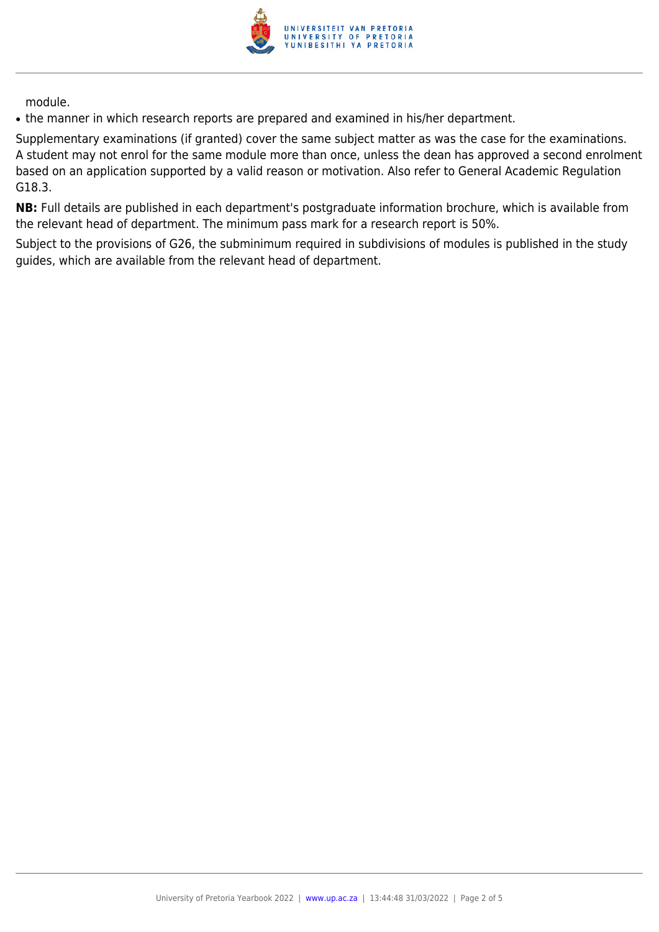

module.

• the manner in which research reports are prepared and examined in his/her department.

Supplementary examinations (if granted) cover the same subject matter as was the case for the examinations. A student may not enrol for the same module more than once, unless the dean has approved a second enrolment based on an application supported by a valid reason or motivation. Also refer to General Academic Regulation G18.3.

**NB:** Full details are published in each department's postgraduate information brochure, which is available from the relevant head of department. The minimum pass mark for a research report is 50%.

Subject to the provisions of G26, the subminimum required in subdivisions of modules is published in the study guides, which are available from the relevant head of department.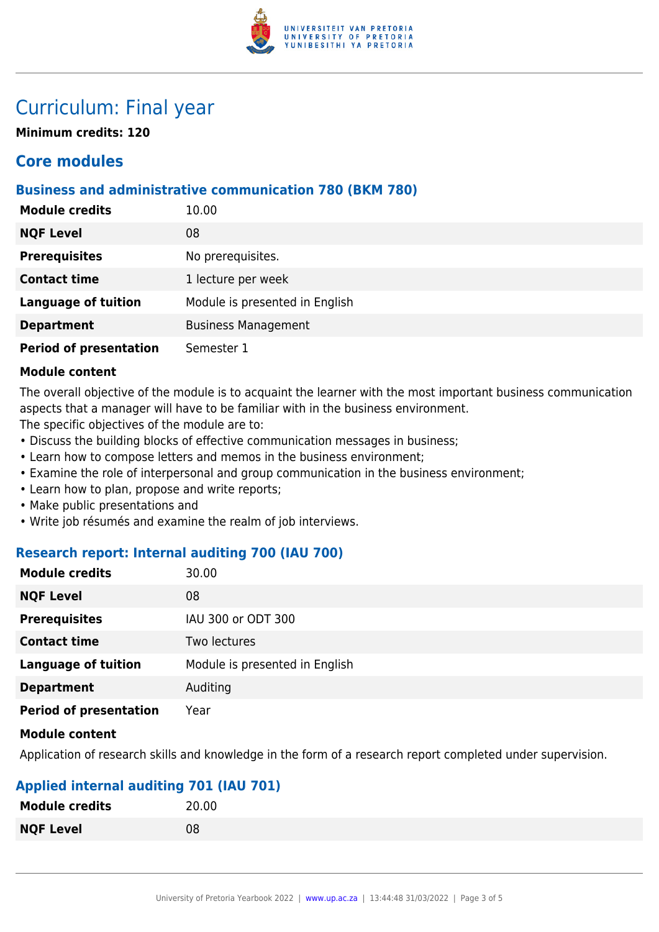

### Curriculum: Final year

**Minimum credits: 120**

### **Core modules**

### **Business and administrative communication 780 (BKM 780)**

| <b>Module credits</b>         | 10.00                          |
|-------------------------------|--------------------------------|
| <b>NQF Level</b>              | 08                             |
| <b>Prerequisites</b>          | No prerequisites.              |
| <b>Contact time</b>           | 1 lecture per week             |
| <b>Language of tuition</b>    | Module is presented in English |
| <b>Department</b>             | <b>Business Management</b>     |
| <b>Period of presentation</b> | Semester 1                     |

#### **Module content**

The overall objective of the module is to acquaint the learner with the most important business communication aspects that a manager will have to be familiar with in the business environment.

The specific objectives of the module are to:

- Discuss the building blocks of effective communication messages in business;
- Learn how to compose letters and memos in the business environment;
- Examine the role of interpersonal and group communication in the business environment;
- Learn how to plan, propose and write reports;
- Make public presentations and
- Write job résumés and examine the realm of job interviews.

#### **Research report: Internal auditing 700 (IAU 700)**

| <b>Module credits</b>         | 30.00                          |
|-------------------------------|--------------------------------|
| <b>NQF Level</b>              | 08                             |
| <b>Prerequisites</b>          | IAU 300 or ODT 300             |
| <b>Contact time</b>           | Two lectures                   |
| <b>Language of tuition</b>    | Module is presented in English |
| <b>Department</b>             | Auditing                       |
| <b>Period of presentation</b> | Year                           |

#### **Module content**

Application of research skills and knowledge in the form of a research report completed under supervision.

### **Applied internal auditing 701 (IAU 701)**

| <b>Module credits</b> | 20.00 |
|-----------------------|-------|
| <b>NQF Level</b>      | 08    |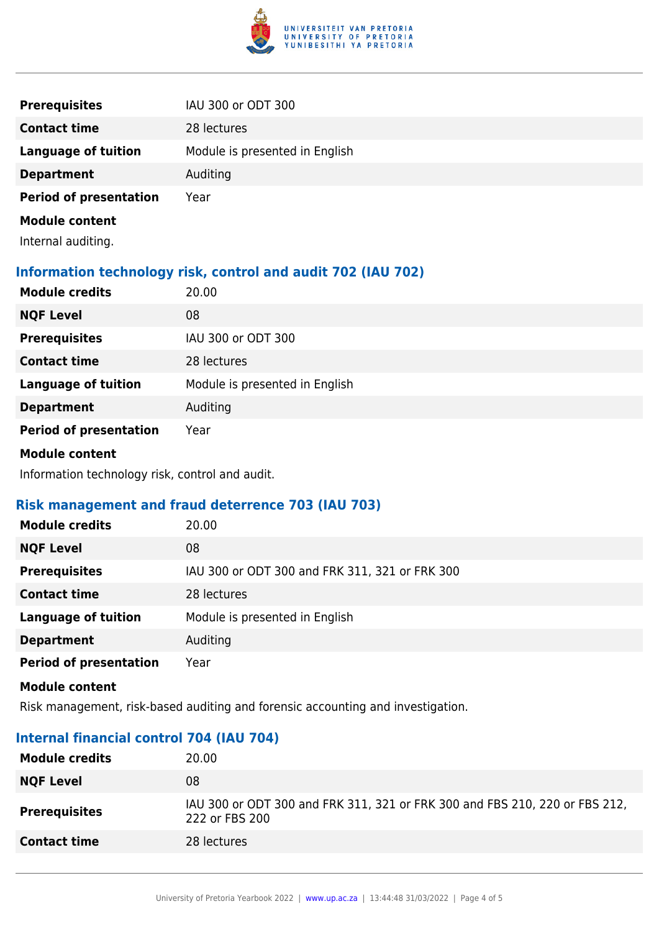

| <b>Prerequisites</b>          | IAU 300 or ODT 300             |
|-------------------------------|--------------------------------|
| <b>Contact time</b>           | 28 lectures                    |
| <b>Language of tuition</b>    | Module is presented in English |
| <b>Department</b>             | Auditing                       |
| <b>Period of presentation</b> | Year                           |
| <b>Module content</b>         |                                |

Internal auditing.

#### **Information technology risk, control and audit 702 (IAU 702)**

| <b>Module credits</b>         | 20.00                          |
|-------------------------------|--------------------------------|
| <b>NQF Level</b>              | 08                             |
| <b>Prerequisites</b>          | IAU 300 or ODT 300             |
| <b>Contact time</b>           | 28 lectures                    |
| <b>Language of tuition</b>    | Module is presented in English |
| <b>Department</b>             | Auditing                       |
| <b>Period of presentation</b> | Year                           |

#### **Module content**

Information technology risk, control and audit.

#### **Risk management and fraud deterrence 703 (IAU 703)**

| <b>Module credits</b>         | 20.00                                          |
|-------------------------------|------------------------------------------------|
| <b>NQF Level</b>              | 08                                             |
| <b>Prerequisites</b>          | IAU 300 or ODT 300 and FRK 311, 321 or FRK 300 |
| <b>Contact time</b>           | 28 lectures                                    |
| <b>Language of tuition</b>    | Module is presented in English                 |
| <b>Department</b>             | Auditing                                       |
| <b>Period of presentation</b> | Year                                           |

#### **Module content**

Risk management, risk-based auditing and forensic accounting and investigation.

#### **Internal financial control 704 (IAU 704)**

| <b>Module credits</b> | 20.00                                                                                         |
|-----------------------|-----------------------------------------------------------------------------------------------|
| <b>NQF Level</b>      | 08                                                                                            |
| <b>Prerequisites</b>  | IAU 300 or ODT 300 and FRK 311, 321 or FRK 300 and FBS 210, 220 or FBS 212,<br>222 or FBS 200 |
| <b>Contact time</b>   | 28 lectures                                                                                   |
|                       |                                                                                               |